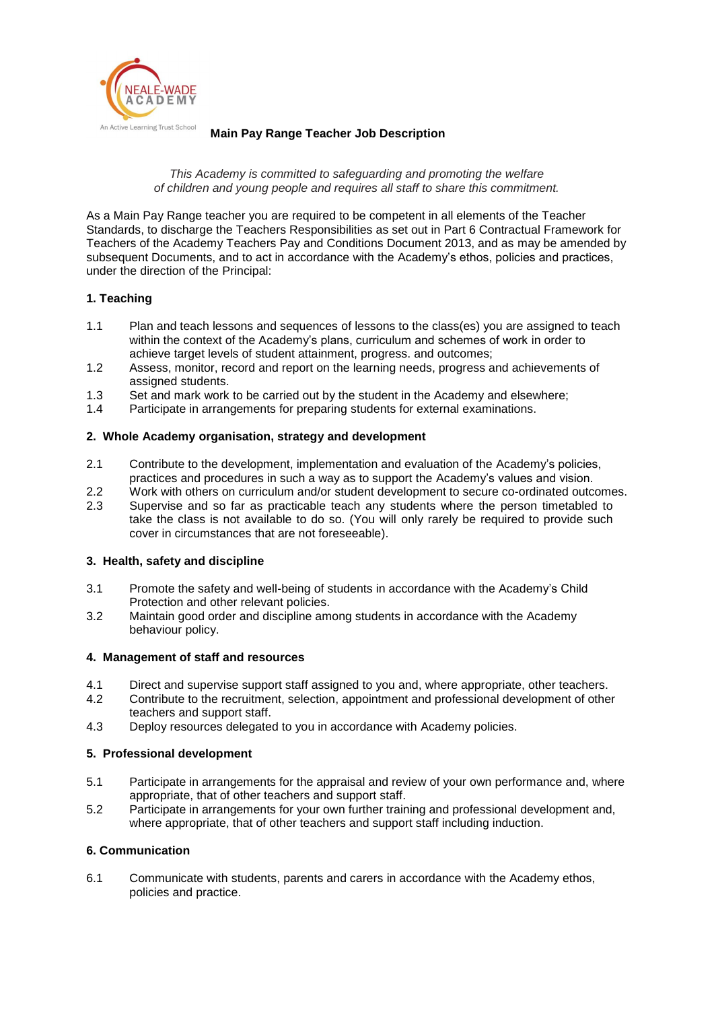

#### **Main Pay Range Teacher Job Description**

#### *This Academy is committed to safeguarding and promoting the welfare of children and young people and requires all staff to share this commitment.*

As a Main Pay Range teacher you are required to be competent in all elements of the Teacher Standards, to discharge the Teachers Responsibilities as set out in Part 6 Contractual Framework for Teachers of the Academy Teachers Pay and Conditions Document 2013, and as may be amended by subsequent Documents, and to act in accordance with the Academy's ethos, policies and practices, under the direction of the Principal:

# **1. Teaching**

- 1.1 Plan and teach lessons and sequences of lessons to the class(es) you are assigned to teach within the context of the Academy's plans, curriculum and schemes of work in order to achieve target levels of student attainment, progress. and outcomes;
- 1.2 Assess, monitor, record and report on the learning needs, progress and achievements of assigned students.
- 1.3 Set and mark work to be carried out by the student in the Academy and elsewhere;
- 1.4 Participate in arrangements for preparing students for external examinations.

# **2. Whole Academy organisation, strategy and development**

- 2.1 Contribute to the development, implementation and evaluation of the Academy's policies, practices and procedures in such a way as to support the Academy's values and vision.
- 2.2 Work with others on curriculum and/or student development to secure co-ordinated outcomes.
- 2.3 Supervise and so far as practicable teach any students where the person timetabled to take the class is not available to do so. (You will only rarely be required to provide such cover in circumstances that are not foreseeable).

# **3. Health, safety and discipline**

- 3.1 Promote the safety and well-being of students in accordance with the Academy's Child Protection and other relevant policies.
- 3.2 Maintain good order and discipline among students in accordance with the Academy behaviour policy.

# **4. Management of staff and resources**

- 4.1 Direct and supervise support staff assigned to you and, where appropriate, other teachers.
- 4.2 Contribute to the recruitment, selection, appointment and professional development of other teachers and support staff.
- 4.3 Deploy resources delegated to you in accordance with Academy policies.

# **5. Professional development**

- 5.1 Participate in arrangements for the appraisal and review of your own performance and, where appropriate, that of other teachers and support staff.
- 5.2 Participate in arrangements for your own further training and professional development and, where appropriate, that of other teachers and support staff including induction.

# **6. Communication**

6.1 Communicate with students, parents and carers in accordance with the Academy ethos, policies and practice.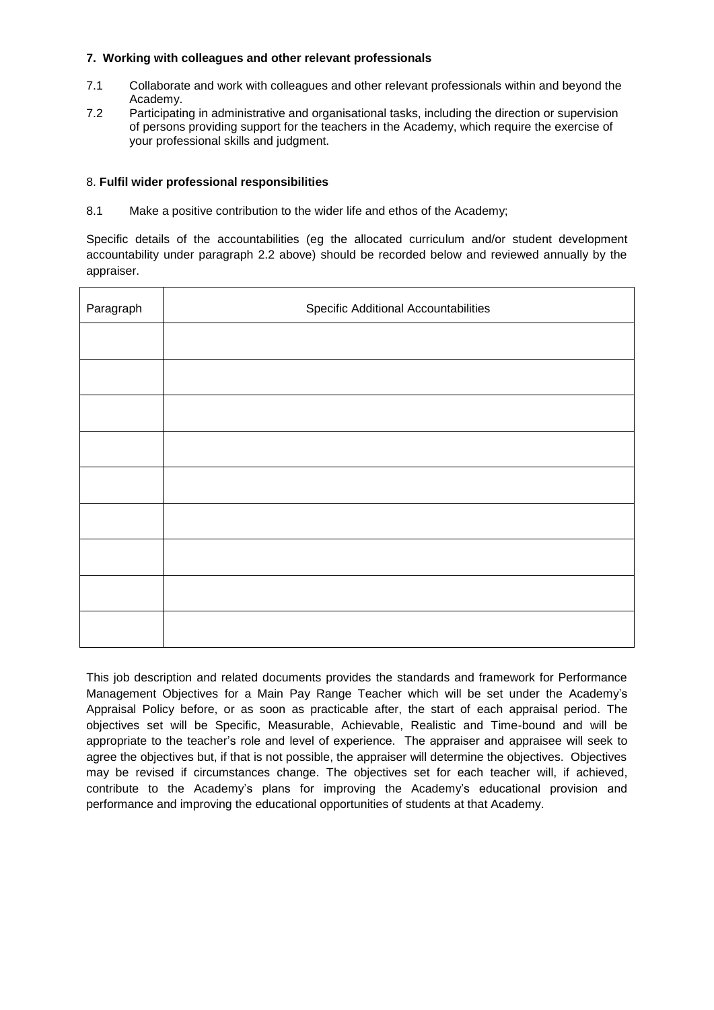# **7. Working with colleagues and other relevant professionals**

- 7.1 Collaborate and work with colleagues and other relevant professionals within and beyond the Academy.
- 7.2 Participating in administrative and organisational tasks, including the direction or supervision of persons providing support for the teachers in the Academy, which require the exercise of your professional skills and judgment.

#### 8. **Fulfil wider professional responsibilities**

8.1 Make a positive contribution to the wider life and ethos of the Academy;

Specific details of the accountabilities (eg the allocated curriculum and/or student development accountability under paragraph 2.2 above) should be recorded below and reviewed annually by the appraiser.

| Paragraph | <b>Specific Additional Accountabilities</b> |  |  |
|-----------|---------------------------------------------|--|--|
|           |                                             |  |  |
|           |                                             |  |  |
|           |                                             |  |  |
|           |                                             |  |  |
|           |                                             |  |  |
|           |                                             |  |  |
|           |                                             |  |  |
|           |                                             |  |  |
|           |                                             |  |  |

This job description and related documents provides the standards and framework for Performance Management Objectives for a Main Pay Range Teacher which will be set under the Academy's Appraisal Policy before, or as soon as practicable after, the start of each appraisal period. The objectives set will be Specific, Measurable, Achievable, Realistic and Time-bound and will be appropriate to the teacher's role and level of experience. The appraiser and appraisee will seek to agree the objectives but, if that is not possible, the appraiser will determine the objectives. Objectives may be revised if circumstances change. The objectives set for each teacher will, if achieved, contribute to the Academy's plans for improving the Academy's educational provision and performance and improving the educational opportunities of students at that Academy.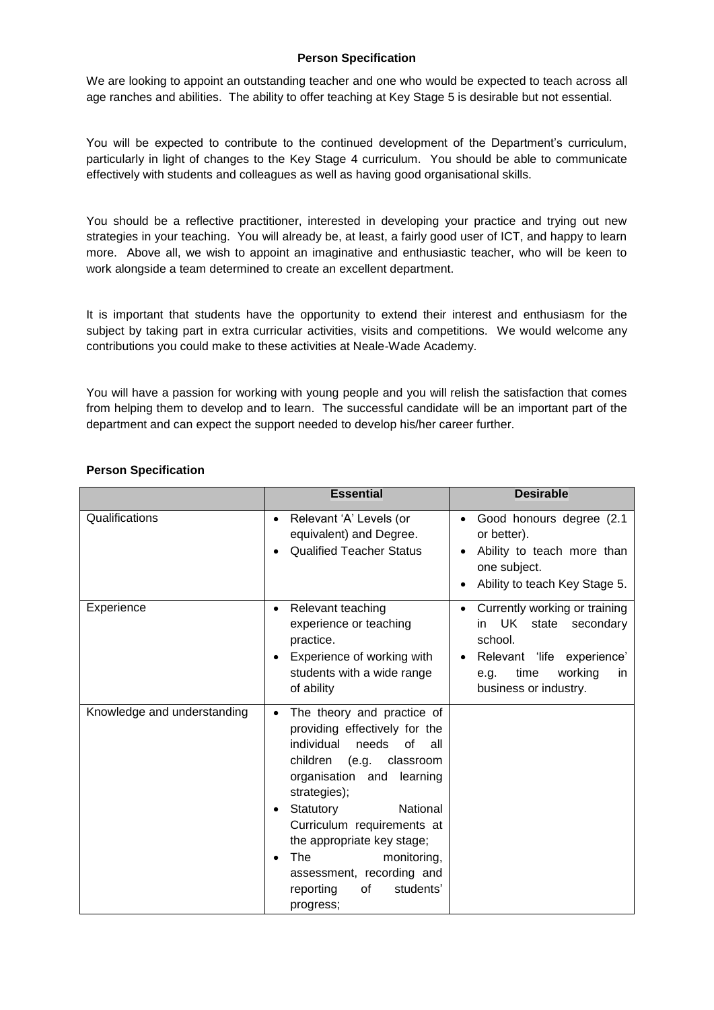#### **Person Specification**

We are looking to appoint an outstanding teacher and one who would be expected to teach across all age ranches and abilities. The ability to offer teaching at Key Stage 5 is desirable but not essential.

You will be expected to contribute to the continued development of the Department's curriculum, particularly in light of changes to the Key Stage 4 curriculum. You should be able to communicate effectively with students and colleagues as well as having good organisational skills.

You should be a reflective practitioner, interested in developing your practice and trying out new strategies in your teaching. You will already be, at least, a fairly good user of ICT, and happy to learn more. Above all, we wish to appoint an imaginative and enthusiastic teacher, who will be keen to work alongside a team determined to create an excellent department.

It is important that students have the opportunity to extend their interest and enthusiasm for the subject by taking part in extra curricular activities, visits and competitions. We would welcome any contributions you could make to these activities at Neale-Wade Academy.

You will have a passion for working with young people and you will relish the satisfaction that comes from helping them to develop and to learn. The successful candidate will be an important part of the department and can expect the support needed to develop his/her career further.

|                             | <b>Essential</b>                                                                                                                                                                                                                                                                                                                                                                                  | <b>Desirable</b>                                                                                                                                               |
|-----------------------------|---------------------------------------------------------------------------------------------------------------------------------------------------------------------------------------------------------------------------------------------------------------------------------------------------------------------------------------------------------------------------------------------------|----------------------------------------------------------------------------------------------------------------------------------------------------------------|
| Qualifications              | Relevant 'A' Levels (or<br>$\bullet$<br>equivalent) and Degree.<br><b>Qualified Teacher Status</b><br>$\bullet$                                                                                                                                                                                                                                                                                   | Good honours degree (2.1)<br>or better).<br>Ability to teach more than<br>one subject.<br>Ability to teach Key Stage 5.                                        |
| Experience                  | Relevant teaching<br>$\bullet$<br>experience or teaching<br>practice.<br>Experience of working with<br>$\bullet$<br>students with a wide range<br>of ability                                                                                                                                                                                                                                      | Currently working or training<br>UK state secondary<br>in.<br>school.<br>Relevant 'life experience'<br>time<br>working<br>e.g.<br>in.<br>business or industry. |
| Knowledge and understanding | The theory and practice of<br>$\bullet$<br>providing effectively for the<br>individual<br>needs of<br>all<br>children (e.g. classroom<br>organisation and learning<br>strategies);<br>Statutory<br>National<br>$\bullet$<br>Curriculum requirements at<br>the appropriate key stage;<br>The<br>monitoring,<br>$\bullet$<br>assessment, recording and<br>students'<br>reporting<br>of<br>progress; |                                                                                                                                                                |

# **Person Specification**